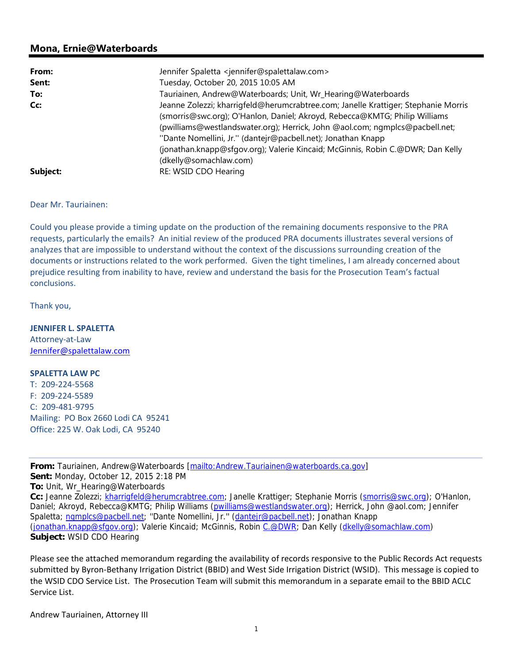## **Mona, Ernie@Waterboards**

| From:    | Jennifer Spaletta <jennifer@spalettalaw.com></jennifer@spalettalaw.com>                                                                                                                                                                                                                                                                                                                                                      |
|----------|------------------------------------------------------------------------------------------------------------------------------------------------------------------------------------------------------------------------------------------------------------------------------------------------------------------------------------------------------------------------------------------------------------------------------|
| Sent:    | Tuesday, October 20, 2015 10:05 AM                                                                                                                                                                                                                                                                                                                                                                                           |
| To:      | Tauriainen, Andrew@Waterboards; Unit, Wr_Hearing@Waterboards                                                                                                                                                                                                                                                                                                                                                                 |
| Cc:      | Jeanne Zolezzi; kharrigfeld@herumcrabtree.com; Janelle Krattiger; Stephanie Morris<br>(smorris@swc.org); O'Hanlon, Daniel; Akroyd, Rebecca@KMTG; Philip Williams<br>(pwilliams@westlandswater.org); Herrick, John @aol.com; ngmplcs@pacbell.net;<br>"Dante Nomellini, Jr." (dantejr@pacbell.net); Jonathan Knapp<br>(jonathan.knapp@sfqov.org); Valerie Kincaid; McGinnis, Robin C.@DWR; Dan Kelly<br>(dkelly@somachlaw.com) |
| Subject: | RE: WSID CDO Hearing                                                                                                                                                                                                                                                                                                                                                                                                         |

## Dear Mr. Tauriainen:

Could you please provide a timing update on the production of the remaining documents responsive to the PRA requests, particularly the emails? An initial review of the produced PRA documents illustrates several versions of analyzes that are impossible to understand without the context of the discussions surrounding creation of the documents or instructions related to the work performed. Given the tight timelines, I am already concerned about prejudice resulting from inability to have, review and understand the basis for the Prosecution Team's factual conclusions.

Thank you,

**JENNIFER L. SPALETTA** Attorney‐at‐Law

Jennifer@spalettalaw.com

## **SPALETTA LAW PC**

T: 209‐224‐5568 F: 209‐224‐5589 C: 209‐481‐9795 Mailing: PO Box 2660 Lodi CA 95241 Office: 225 W. Oak Lodi, CA 95240

**From:** Tauriainen, Andrew@Waterboards [mailto:Andrew.Tauriainen@waterboards.ca.gov] **Sent:** Monday, October 12, 2015 2:18 PM **To:** Unit, Wr\_Hearing@Waterboards **Cc:** Jeanne Zolezzi; kharrigfeld@herumcrabtree.com; Janelle Krattiger; Stephanie Morris (smorris@swc.org); O'Hanlon, Daniel; Akroyd, Rebecca@KMTG; Philip Williams (pwilliams@westlandswater.org); Herrick, John @aol.com; Jennifer Spaletta; ngmplcs@pacbell.net; "Dante Nomellini, Jr." (dantejr@pacbell.net); Jonathan Knapp (jonathan.knapp@sfgov.org); Valerie Kincaid; McGinnis, Robin C.@DWR; Dan Kelly (dkelly@somachlaw.com) **Subject:** WSID CDO Hearing

Please see the attached memorandum regarding the availability of records responsive to the Public Records Act requests submitted by Byron‐Bethany Irrigation District (BBID) and West Side Irrigation District (WSID). This message is copied to the WSID CDO Service List. The Prosecution Team will submit this memorandum in a separate email to the BBID ACLC Service List.

Andrew Tauriainen, Attorney III